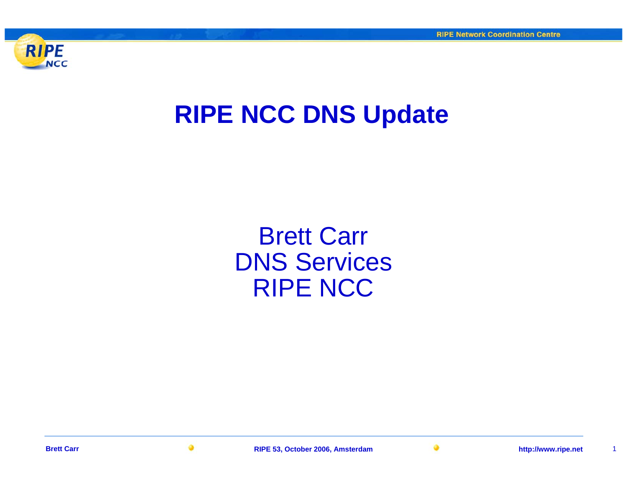

### **RIPE NCC DNS Update**

Brett Carr DNS Services RIPE NCC

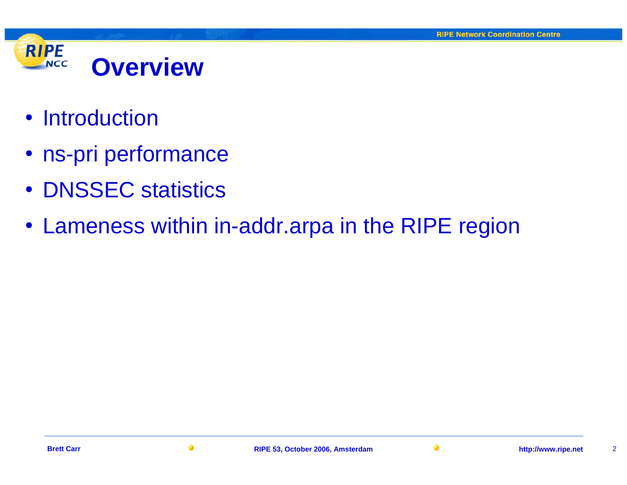

- Introduction
- ns-pri performance
- DNSSEC statistics
- Lameness within in-addr.arpa in the RIPE region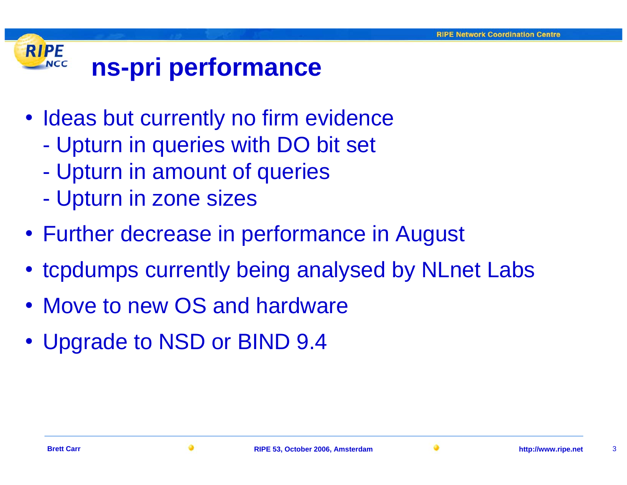#### **RIPE ns-pri performance NCC**

- Ideas but currently no firm evidence
	- Upturn in queries with DO bit set
	- $\mathcal{L}_{\mathcal{A}}$ Upturn in amount of queries
	- $\mathcal{L}_{\mathcal{A}}$ Upturn in zone sizes
- Further decrease in performance in August
- tcpdumps currently being analysed by NLnet Labs
- Move to new OS and hardware
- Upgrade to NSD or BIND 9.4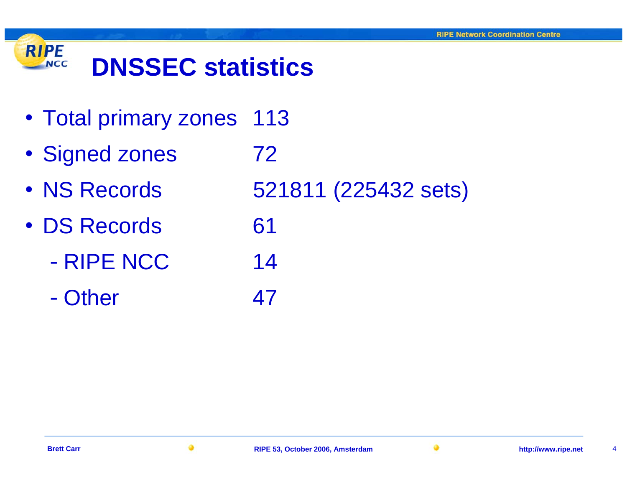

- Total primary zones 113
- Signed zones 72
- NS Records 521811 (225432 sets)
- DS Records 61
	- RIPE NCC 14
	- Other 47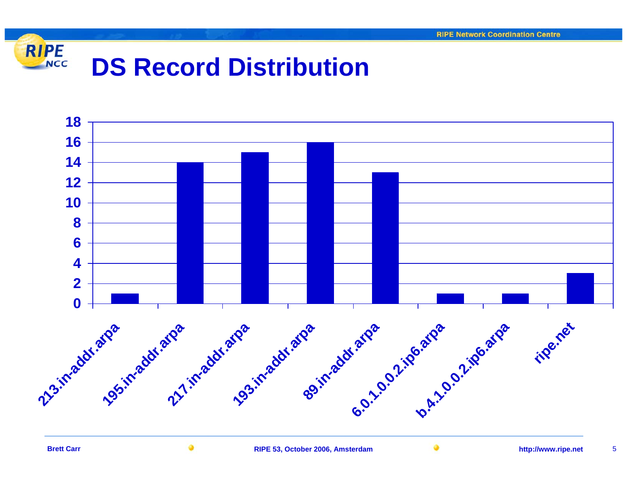

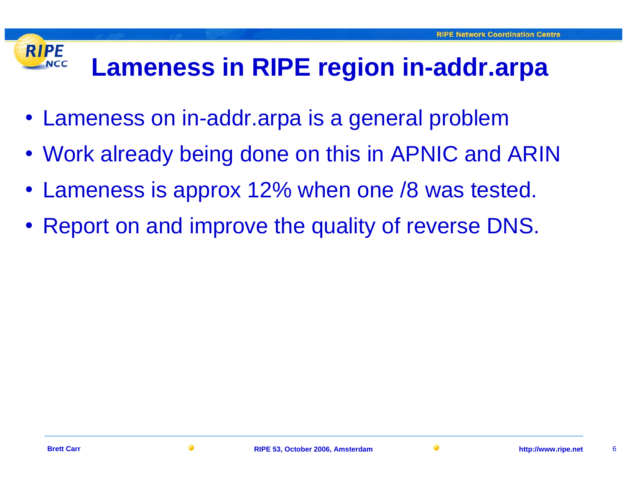## **Lameness in RIPE region in-addr.arpa**

- Lameness on in-addr.arpa is a general problem
- Work already being done on this in APNIC and ARIN
- Lameness is approx 12% when one /8 was tested.
- Report on and improve the quality of reverse DNS.

**RIPE** 

**NCC**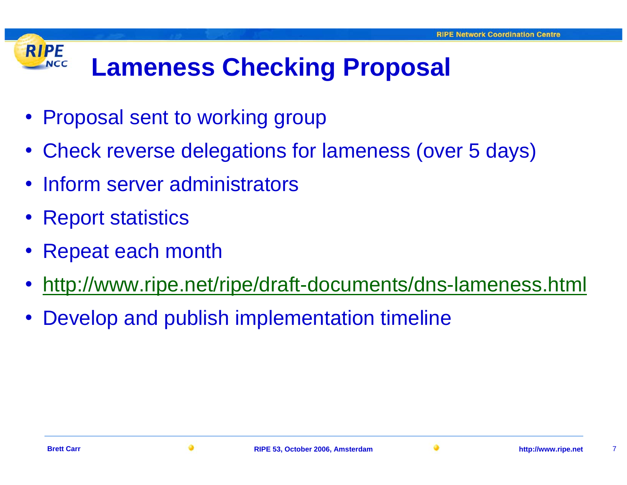#### **RIPE Lameness Checking Proposal NCC**

- Proposal sent to working group
- Check reverse delegations for lameness (over 5 days)
- Inform server administrators
- Report statistics
- •Repeat each month
- •<http://www.ripe.net/ripe/draft-documents/dns-lameness.html>
- •Develop and publish implementation timeline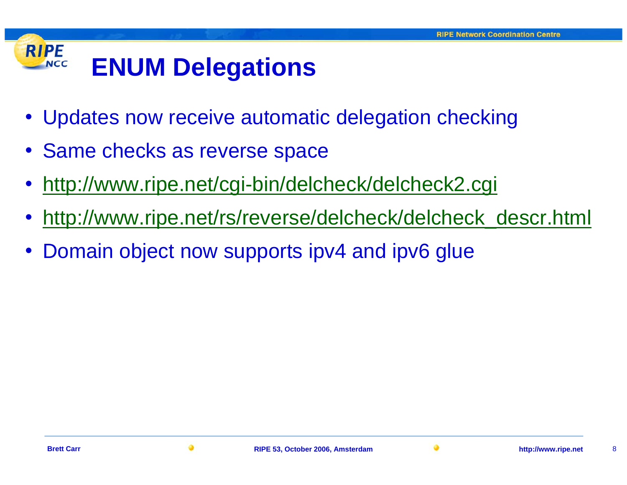#### **RIPE ENUM Delegations NCC**

- Updates now receive automatic delegation checking
- Same checks as reverse space
- •<http://www.ripe.net/cgi-bin/delcheck/delcheck2.cgi>
- •[http://www.ripe.net/rs/reverse/delcheck/delcheck\\_descr.html](http://www.ripe.net/rs/reverse/delcheck/delcheck_descr.html)
- •Domain object now supports ipv4 and ipv6 glue